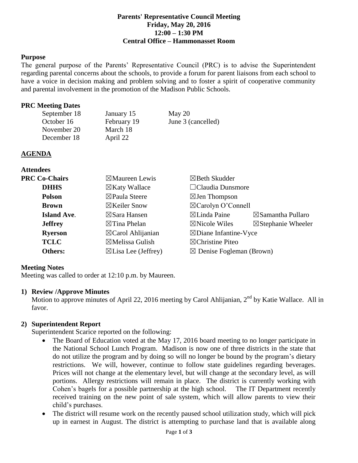#### **Parents' Representative Council Meeting Friday, May 20, 2016 12:00 – 1:30 PM Central Office – Hammonasset Room**

### **Purpose**

The general purpose of the Parents' Representative Council (PRC) is to advise the Superintendent regarding parental concerns about the schools, to provide a forum for parent liaisons from each school to have a voice in decision making and problem solving and to foster a spirit of cooperative community and parental involvement in the promotion of the Madison Public Schools.

### **PRC Meeting Dates**

| January 15  | May 20             |
|-------------|--------------------|
| February 19 | June 3 (cancelled) |
| March 18    |                    |
| April 22    |                    |
|             |                    |

### **AGENDA**

| <b>Attendees</b>     |                                |                                     |                               |
|----------------------|--------------------------------|-------------------------------------|-------------------------------|
| <b>PRC Co-Chairs</b> | $\boxtimes$ Maureen Lewis      | $\boxtimes$ Beth Skudder            |                               |
| <b>DHHS</b>          | $\boxtimes$ Katy Wallace       | $\Box$ Claudia Dunsmore             |                               |
| <b>Polson</b>        | $\boxtimes$ Paula Steere       | $\boxtimes$ Jen Thompson            |                               |
| <b>Brown</b>         | $\boxtimes$ Keiler Snow        | $\boxtimes$ Carolyn O'Connell       |                               |
| <b>Island Ave.</b>   | $\boxtimes$ Sara Hansen        | $\boxtimes$ Linda Paine             | $\boxtimes$ Samantha Pullaro  |
| <b>Jeffrey</b>       | $\boxtimes$ Tina Phelan        | $\boxtimes$ Nicole Wiles            | $\boxtimes$ Stephanie Wheeler |
| <b>Ryerson</b>       | $\boxtimes$ Carol Ahlijanian   | $\boxtimes$ Diane Infantine-Vyce    |                               |
| <b>TCLC</b>          | $\boxtimes$ Melissa Gulish     | $\boxtimes$ Christine Piteo         |                               |
| Others:              | $\boxtimes$ Lisa Lee (Jeffrey) | $\boxtimes$ Denise Fogleman (Brown) |                               |

## **Meeting Notes**

Meeting was called to order at 12:10 p.m. by Maureen.

#### **1) Review /Approve Minutes**

Motion to approve minutes of April 22, 2016 meeting by Carol Ahlijanian, 2<sup>nd</sup> by Katie Wallace. All in favor.

## **2) Superintendent Report**

Superintendent Scarice reported on the following:

- The Board of Education voted at the May 17, 2016 board meeting to no longer participate in the National School Lunch Program. Madison is now one of three districts in the state that do not utilize the program and by doing so will no longer be bound by the program's dietary restrictions. We will, however, continue to follow state guidelines regarding beverages. Prices will not change at the elementary level, but will change at the secondary level, as will portions. Allergy restrictions will remain in place. The district is currently working with Cohen's bagels for a possible partnership at the high school. The IT Department recently received training on the new point of sale system, which will allow parents to view their child's purchases.
- The district will resume work on the recently paused school utilization study, which will pick up in earnest in August. The district is attempting to purchase land that is available along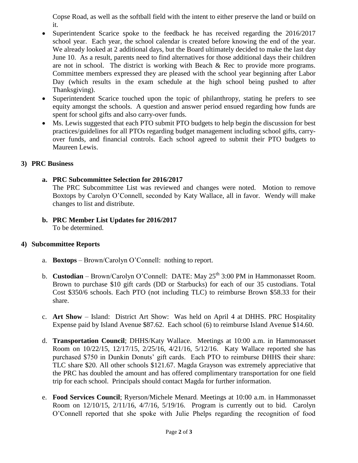Copse Road, as well as the softball field with the intent to either preserve the land or build on it.

- Superintendent Scarice spoke to the feedback he has received regarding the 2016/2017 school year. Each year, the school calendar is created before knowing the end of the year. We already looked at 2 additional days, but the Board ultimately decided to make the last day June 10. As a result, parents need to find alternatives for those additional days their children are not in school. The district is working with Beach & Rec to provide more programs. Committee members expressed they are pleased with the school year beginning after Labor Day (which results in the exam schedule at the high school being pushed to after Thanksgiving).
- Superintendent Scarice touched upon the topic of philanthropy, stating he prefers to see equity amongst the schools. A question and answer period ensued regarding how funds are spent for school gifts and also carry-over funds.
- Ms. Lewis suggested that each PTO submit PTO budgets to help begin the discussion for best practices/guidelines for all PTOs regarding budget management including school gifts, carryover funds, and financial controls. Each school agreed to submit their PTO budgets to Maureen Lewis.

# **3) PRC Business**

# **a. PRC Subcommittee Selection for 2016/2017**

The PRC Subcommittee List was reviewed and changes were noted. Motion to remove Boxtops by Carolyn O'Connell, seconded by Katy Wallace, all in favor. Wendy will make changes to list and distribute.

**b. PRC Member List Updates for 2016/2017** To be determined.

## **4) Subcommittee Reports**

- a. **Boxtops** Brown/Carolyn O'Connell: nothing to report.
- b. **Custodian** Brown/Carolyn O'Connell: DATE: May 25<sup>th</sup> 3:00 PM in Hammonasset Room. Brown to purchase \$10 gift cards (DD or Starbucks) for each of our 35 custodians. Total Cost \$350/6 schools. Each PTO (not including TLC) to reimburse Brown \$58.33 for their share.
- c. **Art Show** Island: District Art Show: Was held on April 4 at DHHS. PRC Hospitality Expense paid by Island Avenue \$87.62. Each school (6) to reimburse Island Avenue \$14.60.
- d. **Transportation Council**; DHHS/Katy Wallace. Meetings at 10:00 a.m. in Hammonasset Room on 10/22/15, 12/17/15, 2/25/16, 4/21/16, 5/12/16. Katy Wallace reported she has purchased \$750 in Dunkin Donuts' gift cards. Each PTO to reimburse DHHS their share: TLC share \$20. All other schools \$121.67. Magda Grayson was extremely appreciative that the PRC has doubled the amount and has offered complimentary transportation for one field trip for each school. Principals should contact Magda for further information.
- e. **Food Services Council**; Ryerson/Michele Menard. Meetings at 10:00 a.m. in Hammonasset Room on 12/10/15, 2/11/16, 4/7/16, 5/19/16. Program is currently out to bid. Carolyn O'Connell reported that she spoke with Julie Phelps regarding the recognition of food